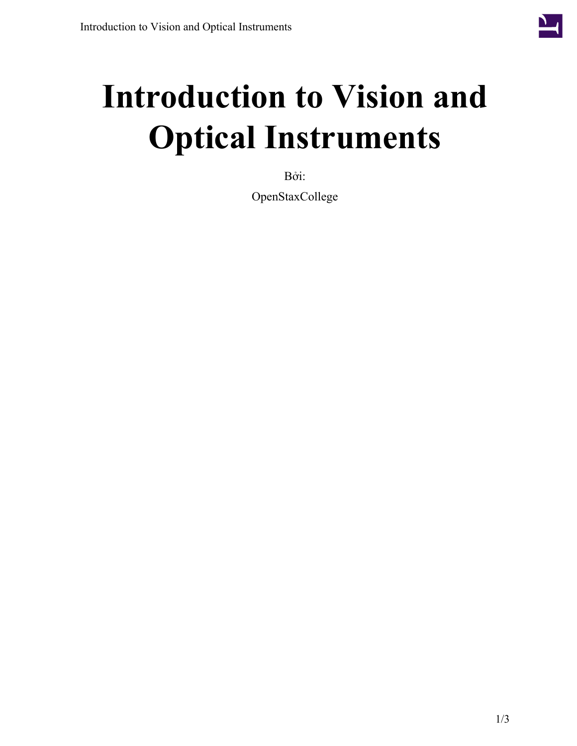

## **Introduction to Vision and Optical Instruments**

Bởi:

OpenStaxCollege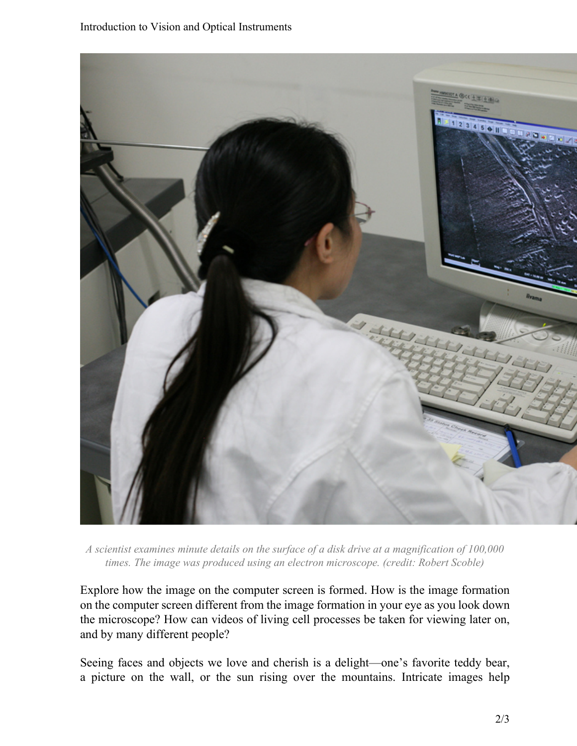

*A scientist examines minute details on the surface of a disk drive at a magnification of 100,000 times. The image was produced using an electron microscope. (credit: Robert Scoble)*

Explore how the image on the computer screen is formed. How is the image formation on the computer screen different from the image formation in your eye as you look down the microscope? How can videos of living cell processes be taken for viewing later on, and by many different people?

Seeing faces and objects we love and cherish is a delight—one's favorite teddy bear, a picture on the wall, or the sun rising over the mountains. Intricate images help